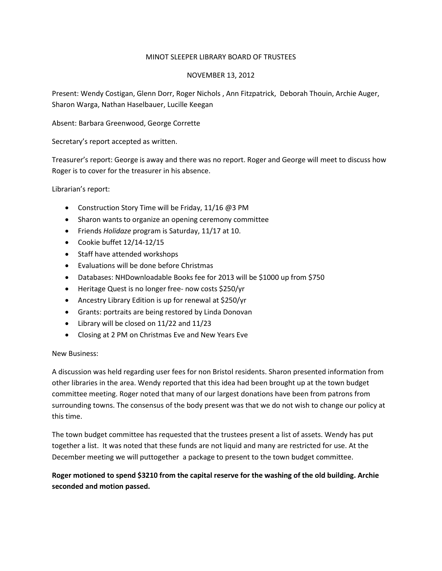## MINOT SLEEPER LIBRARY BOARD OF TRUSTEES

### NOVEMBER 13, 2012

Present: Wendy Costigan, Glenn Dorr, Roger Nichols , Ann Fitzpatrick, Deborah Thouin, Archie Auger, Sharon Warga, Nathan Haselbauer, Lucille Keegan

Absent: Barbara Greenwood, George Corrette

Secretary's report accepted as written.

Treasurer's report: George is away and there was no report. Roger and George will meet to discuss how Roger is to cover for the treasurer in his absence.

Librarian's report:

- Construction Story Time will be Friday, 11/16 @3 PM
- Sharon wants to organize an opening ceremony committee
- Friends *Holidaze* program is Saturday, 11/17 at 10.
- Cookie buffet 12/14-12/15
- Staff have attended workshops
- Evaluations will be done before Christmas
- Databases: NHDownloadable Books fee for 2013 will be \$1000 up from \$750
- Heritage Quest is no longer free- now costs \$250/yr
- Ancestry Library Edition is up for renewal at \$250/yr
- Grants: portraits are being restored by Linda Donovan
- Library will be closed on 11/22 and 11/23
- Closing at 2 PM on Christmas Eve and New Years Eve

#### New Business:

A discussion was held regarding user fees for non Bristol residents. Sharon presented information from other libraries in the area. Wendy reported that this idea had been brought up at the town budget committee meeting. Roger noted that many of our largest donations have been from patrons from surrounding towns. The consensus of the body present was that we do not wish to change our policy at this time.

The town budget committee has requested that the trustees present a list of assets. Wendy has put together a list. It was noted that these funds are not liquid and many are restricted for use. At the December meeting we will puttogether a package to present to the town budget committee.

# **Roger motioned to spend \$3210 from the capital reserve for the washing of the old building. Archie seconded and motion passed.**